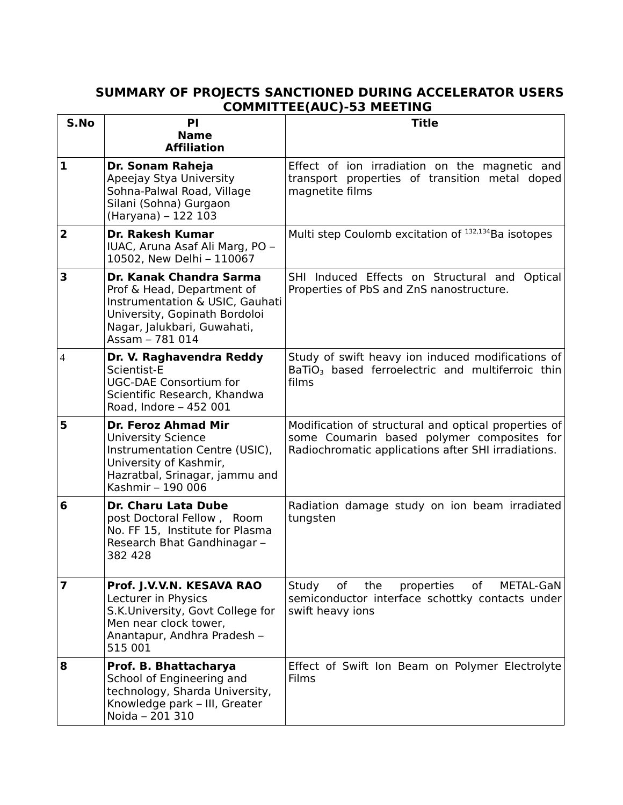## **SUMMARY OF PROJECTS SANCTIONED DURING ACCELERATOR USERS COMMITTEE(AUC)-53 MEETING**

| S.No                    | <b>PI</b>                                                                                                                                                                   | ----<br><b>Title</b>                                                                                                                                      |
|-------------------------|-----------------------------------------------------------------------------------------------------------------------------------------------------------------------------|-----------------------------------------------------------------------------------------------------------------------------------------------------------|
|                         | <b>Name</b><br><b>Affiliation</b>                                                                                                                                           |                                                                                                                                                           |
| $\mathbf{1}$            | Dr. Sonam Raheja<br>Apeejay Stya University<br>Sohna-Palwal Road, Village<br>Silani (Sohna) Gurgaon<br>(Haryana) - 122 103                                                  | Effect of ion irradiation on the magnetic and<br>transport properties of transition metal doped<br>magnetite films                                        |
| $\overline{\mathbf{2}}$ | <b>Dr. Rakesh Kumar</b><br>IUAC, Aruna Asaf Ali Marg, PO -<br>10502, New Delhi - 110067                                                                                     | Multi step Coulomb excitation of 132,134 Ba isotopes                                                                                                      |
| 3                       | Dr. Kanak Chandra Sarma<br>Prof & Head, Department of<br>Instrumentation & USIC, Gauhati<br>University, Gopinath Bordoloi<br>Nagar, Jalukbari, Guwahati,<br>Assam - 781 014 | SHI Induced Effects on Structural and Optical<br>Properties of PbS and ZnS nanostructure.                                                                 |
| $\overline{4}$          | Dr. V. Raghavendra Reddy<br>Scientist-E<br><b>UGC-DAE Consortium for</b><br>Scientific Research, Khandwa<br>Road, Indore - 452 001                                          | Study of swift heavy ion induced modifications of<br>BaTiO <sub>3</sub> based ferroelectric and multiferroic thin<br>films                                |
| 5                       | Dr. Feroz Ahmad Mir<br><b>University Science</b><br>Instrumentation Centre (USIC),<br>University of Kashmir,<br>Hazratbal, Srinagar, jammu and<br>Kashmir - 190 006         | Modification of structural and optical properties of<br>some Coumarin based polymer composites for<br>Radiochromatic applications after SHI irradiations. |
| 6                       | <b>Dr. Charu Lata Dube</b><br>post Doctoral Fellow, Room<br>No. FF 15, Institute for Plasma<br>Research Bhat Gandhinagar -<br>382 428                                       | Radiation damage study on ion beam irradiated<br>tungsten                                                                                                 |
| 7                       | Prof. J.V.V.N. KESAVA RAO<br>Lecturer in Physics<br>S.K.University, Govt College for<br>Men near clock tower,<br>Anantapur, Andhra Pradesh -<br>515 001                     | Study<br>the<br>properties<br>of<br>of<br>METAL-GaN<br>semiconductor interface schottky contacts under<br>swift heavy ions                                |
| 8                       | Prof. B. Bhattacharya<br>School of Engineering and<br>technology, Sharda University,<br>Knowledge park - III, Greater<br>Noida - 201 310                                    | Effect of Swift Ion Beam on Polymer Electrolyte<br>Films                                                                                                  |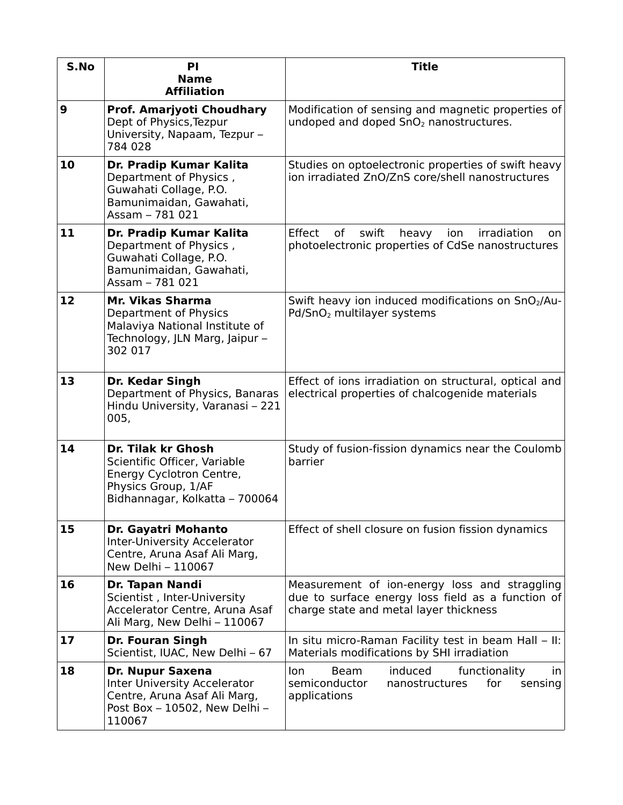| S.No | PI<br><b>Name</b><br><b>Affiliation</b>                                                                                                        | <b>Title</b>                                                                                                                                 |
|------|------------------------------------------------------------------------------------------------------------------------------------------------|----------------------------------------------------------------------------------------------------------------------------------------------|
| 9    | Prof. Amarjyoti Choudhary<br>Dept of Physics, Tezpur<br>University, Napaam, Tezpur -<br>784 028                                                | Modification of sensing and magnetic properties of<br>undoped and doped SnO <sub>2</sub> nanostructures.                                     |
| 10   | Dr. Pradip Kumar Kalita<br>Department of Physics,<br>Guwahati Collage, P.O.<br>Bamunimaidan, Gawahati,<br>Assam - 781 021                      | Studies on optoelectronic properties of swift heavy<br>ion irradiated ZnO/ZnS core/shell nanostructures                                      |
| 11   | Dr. Pradip Kumar Kalita<br>Department of Physics,<br>Guwahati Collage, P.O.<br>Bamunimaidan, Gawahati,<br>Assam - 781 021                      | Effect<br>of<br>irradiation<br>swift<br>heavy<br>ion<br>on.<br>photoelectronic properties of CdSe nanostructures                             |
| 12   | Mr. Vikas Sharma<br>Department of Physics<br>Malaviya National Institute of<br>Technology, JLN Marg, Jaipur -<br>302 017                       | Swift heavy ion induced modifications on SnO <sub>2</sub> /Au-<br>Pd/SnO <sub>2</sub> multilayer systems                                     |
| 13   | Dr. Kedar Singh<br>Department of Physics, Banaras<br>Hindu University, Varanasi - 221<br>005,                                                  | Effect of ions irradiation on structural, optical and<br>electrical properties of chalcogenide materials                                     |
| 14   | <b>Dr. Tilak kr Ghosh</b><br>Scientific Officer, Variable<br>Energy Cyclotron Centre,<br>Physics Group, 1/AF<br>Bidhannagar, Kolkatta - 700064 | Study of fusion-fission dynamics near the Coulomb<br>barrier                                                                                 |
| 15   | Dr. Gayatri Mohanto<br>Inter-University Accelerator<br>Centre, Aruna Asaf Ali Marg,<br>New Delhi - 110067                                      | Effect of shell closure on fusion fission dynamics                                                                                           |
| 16   | Dr. Tapan Nandi<br>Scientist, Inter-University<br>Accelerator Centre, Aruna Asaf<br>Ali Marg, New Delhi - 110067                               | Measurement of ion-energy loss and straggling<br>due to surface energy loss field as a function of<br>charge state and metal layer thickness |
| 17   | <b>Dr. Fouran Singh</b><br>Scientist, IUAC, New Delhi - 67                                                                                     | In situ micro-Raman Facility test in beam Hall – II:<br>Materials modifications by SHI irradiation                                           |
| 18   | Dr. Nupur Saxena<br><b>Inter University Accelerator</b><br>Centre, Aruna Asaf Ali Marg,<br>Post Box - 10502, New Delhi -<br>110067             | Beam<br>induced<br>functionality<br>lon<br>in.<br>semiconductor<br>nanostructures<br>for<br>sensing<br>applications                          |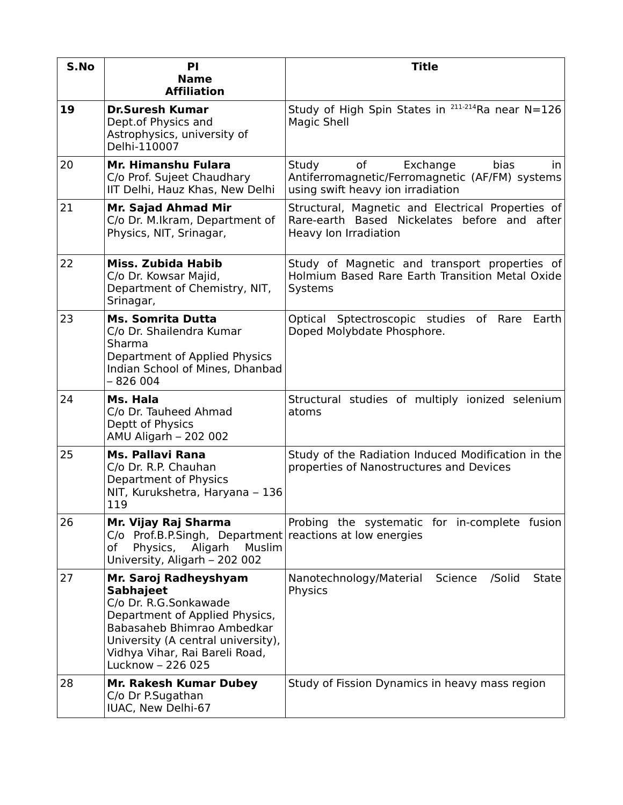| S.No | PI<br><b>Name</b><br><b>Affiliation</b>                                                                                                                                                                                         | <b>Title</b>                                                                                                                            |
|------|---------------------------------------------------------------------------------------------------------------------------------------------------------------------------------------------------------------------------------|-----------------------------------------------------------------------------------------------------------------------------------------|
| 19   | <b>Dr.Suresh Kumar</b><br>Dept.of Physics and<br>Astrophysics, university of<br>Delhi-110007                                                                                                                                    | Study of High Spin States in 211-214Ra near N=126<br>Magic Shell                                                                        |
| 20   | Mr. Himanshu Fulara<br>C/o Prof. Sujeet Chaudhary<br>IIT Delhi, Hauz Khas, New Delhi                                                                                                                                            | Study<br>of<br>Exchange<br>bias<br>$\mathsf{I}$<br>Antiferromagnetic/Ferromagnetic (AF/FM) systems<br>using swift heavy ion irradiation |
| 21   | Mr. Sajad Ahmad Mir<br>C/o Dr. M.Ikram, Department of<br>Physics, NIT, Srinagar,                                                                                                                                                | Structural, Magnetic and Electrical Properties of<br>Rare-earth Based Nickelates before and after<br>Heavy Ion Irradiation              |
| 22   | Miss. Zubida Habib<br>C/o Dr. Kowsar Majid,<br>Department of Chemistry, NIT,<br>Srinagar,                                                                                                                                       | Study of Magnetic and transport properties of<br>Holmium Based Rare Earth Transition Metal Oxide<br>Systems                             |
| 23   | <b>Ms. Somrita Dutta</b><br>C/o Dr. Shailendra Kumar<br>Sharma<br>Department of Applied Physics<br>Indian School of Mines, Dhanbad<br>$-826004$                                                                                 | Optical Sptectroscopic studies of Rare<br>Earth<br>Doped Molybdate Phosphore.                                                           |
| 24   | Ms. Hala<br>C/o Dr. Tauheed Ahmad<br>Deptt of Physics<br>AMU Aligarh - 202 002                                                                                                                                                  | Structural studies of multiply ionized selenium<br>atoms                                                                                |
| 25   | Ms. Pallavi Rana<br>C/o Dr. R.P. Chauhan<br>Department of Physics<br>NIT, Kurukshetra, Haryana - 136<br>119                                                                                                                     | Study of the Radiation Induced Modification in the<br>properties of Nanostructures and Devices                                          |
| 26   | Mr. Vijay Raj Sharma<br>$C/O$ Prof.B.P.Singh, Department reactions at low energies<br>Physics,<br>Aligarh<br>Muslim<br>of<br>University, Aligarh - 202 002                                                                      | Probing the systematic for in-complete fusion                                                                                           |
| 27   | Mr. Saroj Radheyshyam<br><b>Sabhajeet</b><br>C/o Dr. R.G.Sonkawade<br>Department of Applied Physics,<br>Babasaheb Bhimrao Ambedkar<br>University (A central university),<br>Vidhya Vihar, Rai Bareli Road,<br>Lucknow - 226 025 | Science<br>/Solid<br>Nanotechnology/Material<br><b>State</b><br>Physics                                                                 |
| 28   | Mr. Rakesh Kumar Dubey<br>C/o Dr P.Sugathan<br>IUAC, New Delhi-67                                                                                                                                                               | Study of Fission Dynamics in heavy mass region                                                                                          |